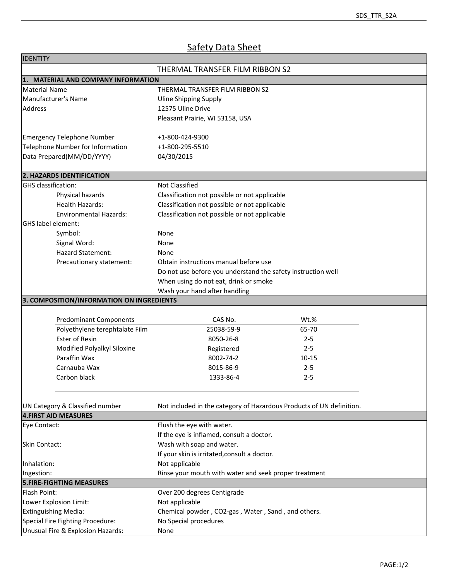## **Safety Data Sheet**

| <b>IDENTITY</b>                                                                                                                        |                                                                      |           |  |                                           |  |  |  |
|----------------------------------------------------------------------------------------------------------------------------------------|----------------------------------------------------------------------|-----------|--|-------------------------------------------|--|--|--|
|                                                                                                                                        | THERMAL TRANSFER FILM RIBBON S2                                      |           |  |                                           |  |  |  |
| 1. MATERIAL AND COMPANY INFORMATION                                                                                                    |                                                                      |           |  |                                           |  |  |  |
| <b>Material Name</b>                                                                                                                   | THERMAL TRANSFER FILM RIBBON S2                                      |           |  |                                           |  |  |  |
| Manufacturer's Name                                                                                                                    | <b>Uline Shipping Supply</b>                                         |           |  |                                           |  |  |  |
| Address                                                                                                                                | 12575 Uline Drive                                                    |           |  |                                           |  |  |  |
|                                                                                                                                        | Pleasant Prairie, WI 53158, USA                                      |           |  |                                           |  |  |  |
|                                                                                                                                        |                                                                      |           |  |                                           |  |  |  |
| <b>Emergency Telephone Number</b>                                                                                                      | +1-800-424-9300                                                      |           |  |                                           |  |  |  |
| Telephone Number for Information                                                                                                       | +1-800-295-5510                                                      |           |  |                                           |  |  |  |
| Data Prepared(MM/DD/YYYY)                                                                                                              | 04/30/2015                                                           |           |  |                                           |  |  |  |
|                                                                                                                                        |                                                                      |           |  |                                           |  |  |  |
| 2. HAZARDS IDENTIFICATION                                                                                                              |                                                                      |           |  |                                           |  |  |  |
| GHS classification:                                                                                                                    | Not Classified                                                       |           |  |                                           |  |  |  |
| Physical hazards                                                                                                                       | Classification not possible or not applicable                        |           |  |                                           |  |  |  |
| Health Hazards:                                                                                                                        | Classification not possible or not applicable                        |           |  |                                           |  |  |  |
| <b>Environmental Hazards:</b>                                                                                                          | Classification not possible or not applicable                        |           |  |                                           |  |  |  |
| <b>GHS</b> label element:                                                                                                              |                                                                      |           |  |                                           |  |  |  |
| Symbol:                                                                                                                                | None                                                                 |           |  |                                           |  |  |  |
| Signal Word:                                                                                                                           | None                                                                 |           |  |                                           |  |  |  |
| Hazard Statement:                                                                                                                      | None                                                                 |           |  |                                           |  |  |  |
| Precautionary statement:                                                                                                               | Obtain instructions manual before use                                |           |  |                                           |  |  |  |
|                                                                                                                                        |                                                                      |           |  |                                           |  |  |  |
| Do not use before you understand the safety instruction well<br>When using do not eat, drink or smoke<br>Wash your hand after handling |                                                                      |           |  |                                           |  |  |  |
|                                                                                                                                        |                                                                      |           |  | 3. COMPOSITION/INFORMATION ON INGREDIENTS |  |  |  |
|                                                                                                                                        |                                                                      |           |  |                                           |  |  |  |
| <b>Predominant Components</b>                                                                                                          | CAS No.                                                              | Wt.%      |  |                                           |  |  |  |
| Polyethylene terephtalate Film                                                                                                         | 25038-59-9                                                           | 65-70     |  |                                           |  |  |  |
| Ester of Resin                                                                                                                         | 8050-26-8                                                            | $2 - 5$   |  |                                           |  |  |  |
| Modified Polyalkyl Siloxine                                                                                                            | Registered                                                           | $2 - 5$   |  |                                           |  |  |  |
| Paraffin Wax                                                                                                                           | 8002-74-2                                                            | $10 - 15$ |  |                                           |  |  |  |
| Carnauba Wax                                                                                                                           | 8015-86-9                                                            | $2 - 5$   |  |                                           |  |  |  |
| Carbon black                                                                                                                           | 1333-86-4                                                            | $2 - 5$   |  |                                           |  |  |  |
|                                                                                                                                        |                                                                      |           |  |                                           |  |  |  |
|                                                                                                                                        |                                                                      |           |  |                                           |  |  |  |
| UN Category & Classified number                                                                                                        | Not included in the category of Hazardous Products of UN definition. |           |  |                                           |  |  |  |
| <b>4.FIRST AID MEASURES</b>                                                                                                            |                                                                      |           |  |                                           |  |  |  |
| Eye Contact:                                                                                                                           | Flush the eye with water.                                            |           |  |                                           |  |  |  |
|                                                                                                                                        | If the eye is inflamed, consult a doctor.                            |           |  |                                           |  |  |  |
| Skin Contact:                                                                                                                          | Wash with soap and water.                                            |           |  |                                           |  |  |  |
|                                                                                                                                        | If your skin is irritated, consult a doctor.                         |           |  |                                           |  |  |  |
| Inhalation:                                                                                                                            | Not applicable                                                       |           |  |                                           |  |  |  |
| Ingestion:                                                                                                                             | Rinse your mouth with water and seek proper treatment                |           |  |                                           |  |  |  |
| <b>5.FIRE-FIGHTING MEASURES</b>                                                                                                        |                                                                      |           |  |                                           |  |  |  |
| Flash Point:                                                                                                                           | Over 200 degrees Centigrade                                          |           |  |                                           |  |  |  |
| Lower Explosion Limit:                                                                                                                 | Not applicable                                                       |           |  |                                           |  |  |  |
| <b>Extinguishing Media:</b>                                                                                                            | Chemical powder, CO2-gas, Water, Sand, and others.                   |           |  |                                           |  |  |  |
| Special Fire Fighting Procedure:<br>No Special procedures                                                                              |                                                                      |           |  |                                           |  |  |  |
| Unusual Fire & Explosion Hazards:<br>None                                                                                              |                                                                      |           |  |                                           |  |  |  |
|                                                                                                                                        |                                                                      |           |  |                                           |  |  |  |